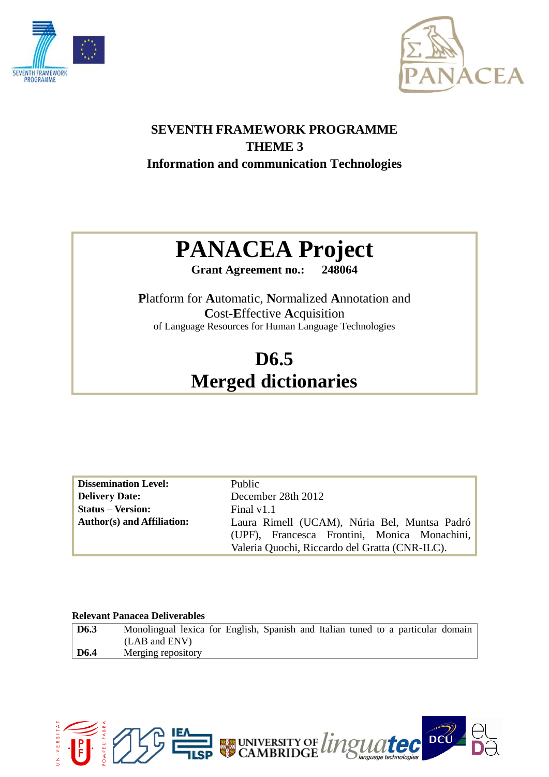



### **SEVENTH FRAMEWORK PROGRAMME THEME 3 Information and communication Technologies**

# **PANACEA Project**

**Grant Agreement no.: 248064**

**P**latform for **A**utomatic, **N**ormalized **A**nnotation and **C**ost-**E**ffective **A**cquisition of Language Resources for Human Language Technologies

## **D6.5 Merged dictionaries**

| <b>Dissemination Level:</b>       | Public                                                                                                                                         |
|-----------------------------------|------------------------------------------------------------------------------------------------------------------------------------------------|
| <b>Delivery Date:</b>             | December 28th 2012                                                                                                                             |
| <b>Status – Version:</b>          | Final v1.1                                                                                                                                     |
| <b>Author(s) and Affiliation:</b> | Laura Rimell (UCAM), Núria Bel, Muntsa Padró<br>(UPF), Francesca Frontini, Monica Monachini,<br>Valeria Quochi, Riccardo del Gratta (CNR-ILC). |

#### **Relevant Panacea Deliverables**

| D6.3 | Monolingual lexica for English, Spanish and Italian tuned to a particular domain<br>(LAB and ENV) |
|------|---------------------------------------------------------------------------------------------------|
| D6.4 | Merging repository                                                                                |

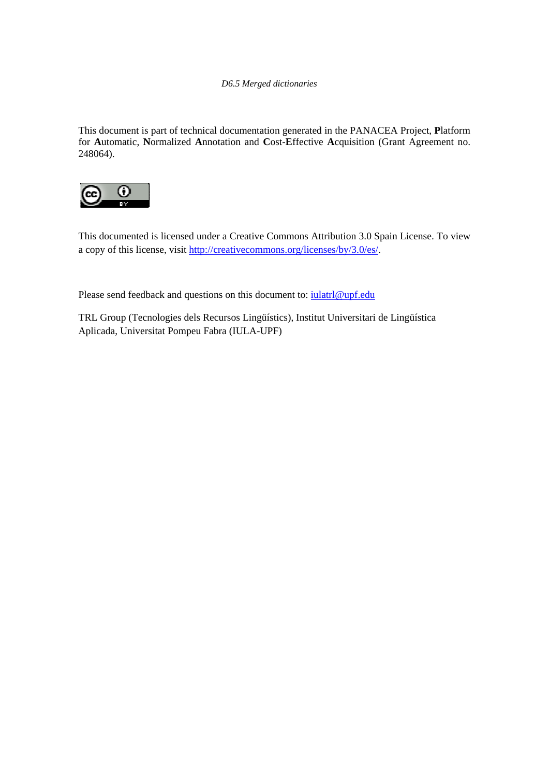This document is part of technical documentation generated in the PANACEA Project, **P**latform for **A**utomatic, **N**ormalized **A**nnotation and **C**ost-**E**ffective **A**cquisition (Grant Agreement no. 248064).



This documented is licensed under a Creative Commons Attribution 3.0 Spain License. To view a copy of this license, visit http://creativecommons.org/licenses/by/3.0/es/.

Please send feedback and questions on this document to: *iulatrl@upf.edu* 

TRL Group (Tecnologies dels Recursos Lingüístics), Institut Universitari de Lingüística Aplicada, Universitat Pompeu Fabra (IULA-UPF)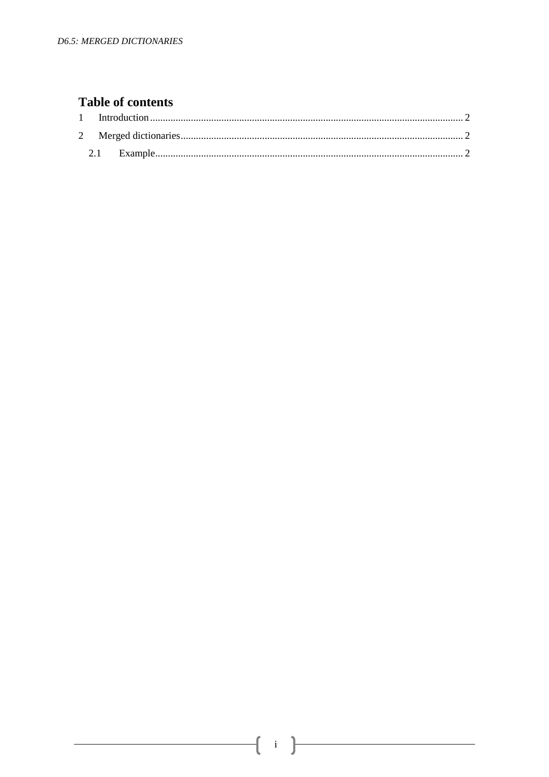#### <span id="page-2-0"></span>**Table of contents**

<span id="page-2-1"></span>

<span id="page-2-2"></span>ſ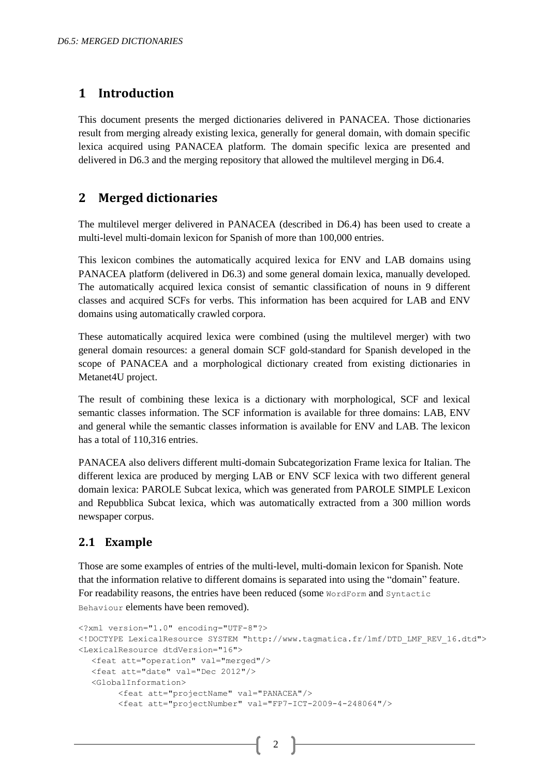#### **1 Introduction**

This document presents the merged dictionaries delivered in PANACEA. Those dictionaries result from merging already existing lexica, generally for general domain, with domain specific lexica acquired using PANACEA platform. The domain specific lexica are presented and delivered in D6.3 and the merging repository that allowed the multilevel merging in D6.4.

#### **2 Merged dictionaries**

The multilevel merger delivered in PANACEA (described in D6.4) has been used to create a multi-level multi-domain lexicon for Spanish of more than 100,000 entries.

This lexicon combines the automatically acquired lexica for ENV and LAB domains using PANACEA platform (delivered in D6.3) and some general domain lexica, manually developed. The automatically acquired lexica consist of semantic classification of nouns in 9 different classes and acquired SCFs for verbs. This information has been acquired for LAB and ENV domains using automatically crawled corpora.

These automatically acquired lexica were combined (using the multilevel merger) with two general domain resources: a general domain SCF gold-standard for Spanish developed in the scope of PANACEA and a morphological dictionary created from existing dictionaries in Metanet4U project.

The result of combining these lexica is a dictionary with morphological, SCF and lexical semantic classes information. The SCF information is available for three domains: LAB, ENV and general while the semantic classes information is available for ENV and LAB. The lexicon has a total of 110,316 entries.

PANACEA also delivers different multi-domain Subcategorization Frame lexica for Italian. The different lexica are produced by merging LAB or ENV SCF lexica with two different general domain lexica: PAROLE Subcat lexica, which was generated from PAROLE SIMPLE Lexicon and Repubblica Subcat lexica, which was automatically extracted from a 300 million words newspaper corpus.

#### **2.1 Example**

Those are some examples of entries of the multi-level, multi-domain lexicon for Spanish. Note that the information relative to different domains is separated into using the "domain" feature. For readability reasons, the entries have been reduced (some WordForm and Syntactic Behaviour elements have been removed).

```
<?xml version="1.0" encoding="UTF-8"?> 
<!DOCTYPE LexicalResource SYSTEM "http://www.tagmatica.fr/lmf/DTD_LMF_REV_16.dtd"> 
<LexicalResource dtdVersion="16"> 
  <feat att="operation" val="merged"/>
  <feat att="date" val="Dec 2012"/>
  <GlobalInformation> 
         <feat att="projectName" val="PANACEA"/>
         <feat att="projectNumber" val="FP7-ICT-2009-4-248064"/>
```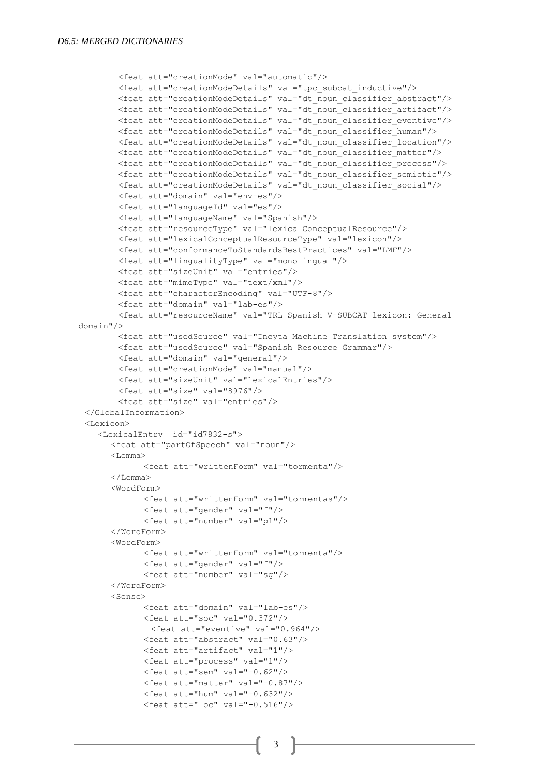```
 <feat att="creationMode" val="automatic"/>
         <feat att="creationModeDetails" val="tpc_subcat_inductive"/>
         <feat att="creationModeDetails" val="dt_noun_classifier_abstract"/>
         <feat att="creationModeDetails" val="dt_noun_classifier_artifact"/>
        <feat att="creationModeDetails" val="dt_noun_classifier_eventive"/>
        <feat att="creationModeDetails" val="dt_noun_classifier_human"/>
        <feat att="creationModeDetails" val="dt_noun_classifier_location"/>
        <feat att="creationModeDetails" val="dt_noun_classifier_matter"/>
        <feat att="creationModeDetails" val="dt_noun_classifier_process"/>
        <feat att="creationModeDetails" val="dt_noun_classifier_semiotic"/>
         <feat att="creationModeDetails" val="dt_noun_classifier_social"/>
         <feat att="domain" val="env-es"/>
         <feat att="languageId" val="es"/>
         <feat att="languageName" val="Spanish"/>
         <feat att="resourceType" val="lexicalConceptualResource"/>
        <feat att="lexicalConceptualResourceType" val="lexicon"/>
         <feat att="conformanceToStandardsBestPractices" val="LMF"/>
        <feat att="lingualityType" val="monolingual"/>
        <feat att="sizeUnit" val="entries"/>
        <feat att="mimeType" val="text/xml"/>
         <feat att="characterEncoding" val="UTF-8"/>
        <feat att="domain" val="lab-es"/>
         <feat att="resourceName" val="TRL Spanish V-SUBCAT lexicon: General 
domain"/>
         <feat att="usedSource" val="Incyta Machine Translation system"/>
         <feat att="usedSource" val="Spanish Resource Grammar"/>
         <feat att="domain" val="general"/>
         <feat att="creationMode" val="manual"/>
        <feat att="sizeUnit" val="lexicalEntries"/>
        <feat att="size" val="8976"/>
         <feat att="size" val="entries"/>
 </GlobalInformation>
 \langleLexicon\rangle<LexicalEntry id="id7832-s">
      <feat att="partOfSpeech" val="noun"/>
      <Lemma><feat att="writtenForm" val="tormenta"/>
      \langle/Lemma>
      <WordForm>
             <feat att="writtenForm" val="tormentas"/>
             <feat att="gender" val="f"/>
             <feat att="number" val="pl"/>
      </WordForm>
      <WordForm>
             <feat att="writtenForm" val="tormenta"/>
             <feat att="gender" val="f"/>
             <feat att="number" val="sg"/>
      </WordForm>
      <Sense>
              <feat att="domain" val="lab-es"/>
              <feat att="soc" val="0.372"/>
               <feat att="eventive" val="0.964"/>
              <feat att="abstract" val="0.63"/>
              <feat att="artifact" val="1"/>
              <feat att="process" val="1"/>
              <feat att="sem" val="-0.62"/>
              <feat att="matter" val="-0.87"/>
              <feat att="hum" val="-0.632"/>
              <feat att="loc" val="-0.516"/>
```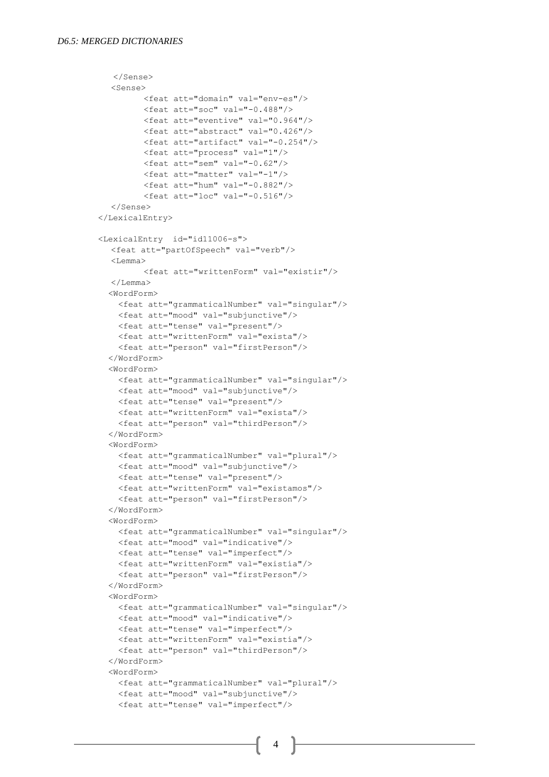```
 </Sense>
    <Sense>
         <feat att="domain" val="env-es"/>
         <feat att="soc" val="-0.488"/>
         <feat att="eventive" val="0.964"/>
         <feat att="abstract" val="0.426"/>
         <feat att="artifact" val="-0.254"/>
         <feat att="process" val="1"/>
         <feat att="sem" val="-0.62"/>
         <feat att="matter" val="-1"/>
         <feat att="hum" val="-0.882"/>
         <feat att="loc" val="-0.516"/>
    </Sense>
</LexicalEntry>
<LexicalEntry id="id11006-s">
  <feat att="partOfSpeech" val="verb"/>
  \langleLemma\rangle<feat att="writtenForm" val="existir"/>
  \langle/Lemma>
   <WordForm>
     <feat att="grammaticalNumber" val="singular"/>
     <feat att="mood" val="subjunctive"/>
     <feat att="tense" val="present"/>
     <feat att="writtenForm" val="exista"/>
     <feat att="person" val="firstPerson"/>
   </WordForm>
   <WordForm>
     <feat att="grammaticalNumber" val="singular"/>
     <feat att="mood" val="subjunctive"/>
     <feat att="tense" val="present"/>
     <feat att="writtenForm" val="exista"/>
     <feat att="person" val="thirdPerson"/>
   </WordForm>
   <WordForm>
     <feat att="grammaticalNumber" val="plural"/>
     <feat att="mood" val="subjunctive"/>
     <feat att="tense" val="present"/>
     <feat att="writtenForm" val="existamos"/>
     <feat att="person" val="firstPerson"/>
   </WordForm>
   <WordForm>
     <feat att="grammaticalNumber" val="singular"/>
     <feat att="mood" val="indicative"/>
     <feat att="tense" val="imperfect"/>
     <feat att="writtenForm" val="existía"/>
     <feat att="person" val="firstPerson"/>
   </WordForm>
   <WordForm>
     <feat att="grammaticalNumber" val="singular"/>
     <feat att="mood" val="indicative"/>
     <feat att="tense" val="imperfect"/>
     <feat att="writtenForm" val="existía"/>
     <feat att="person" val="thirdPerson"/>
   </WordForm>
   <WordForm>
     <feat att="grammaticalNumber" val="plural"/>
     <feat att="mood" val="subjunctive"/>
     <feat att="tense" val="imperfect"/>
```